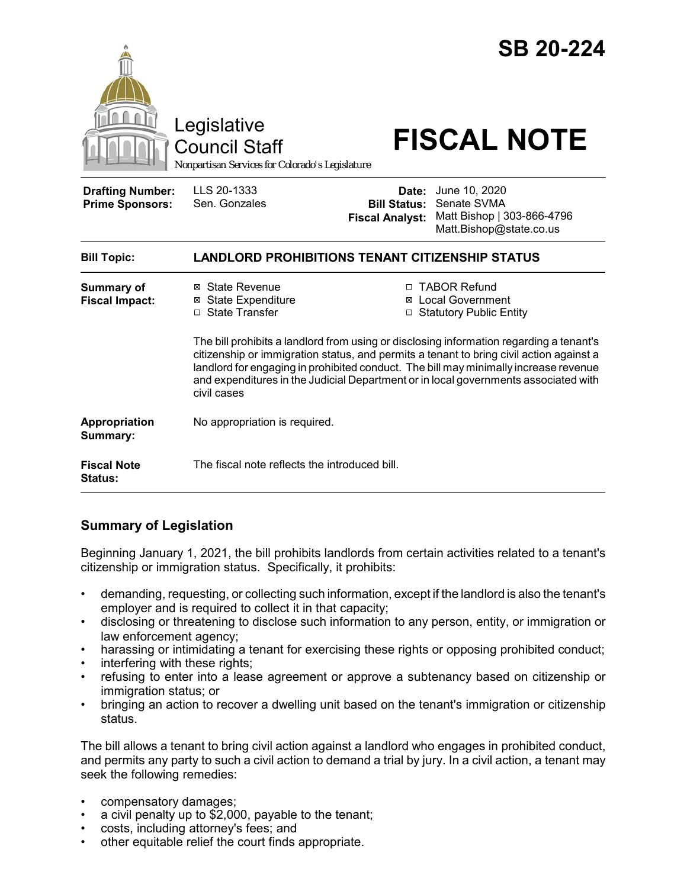|                                                   | Legislative<br><b>Council Staff</b><br>Nonpartisan Services for Colorado's Legislature                                                                                                                                                                                                                                                                                           |                                                        | <b>SB 20-224</b><br><b>FISCAL NOTE</b>                                                |  |
|---------------------------------------------------|----------------------------------------------------------------------------------------------------------------------------------------------------------------------------------------------------------------------------------------------------------------------------------------------------------------------------------------------------------------------------------|--------------------------------------------------------|---------------------------------------------------------------------------------------|--|
| <b>Drafting Number:</b><br><b>Prime Sponsors:</b> | LLS 20-1333<br>Sen. Gonzales                                                                                                                                                                                                                                                                                                                                                     | Date:<br><b>Bill Status:</b><br><b>Fiscal Analyst:</b> | June 10, 2020<br>Senate SVMA<br>Matt Bishop   303-866-4796<br>Matt.Bishop@state.co.us |  |
| <b>Bill Topic:</b>                                | <b>LANDLORD PROHIBITIONS TENANT CITIZENSHIP STATUS</b>                                                                                                                                                                                                                                                                                                                           |                                                        |                                                                                       |  |
| <b>Summary of</b><br><b>Fiscal Impact:</b>        | ⊠ State Revenue<br><b>⊠</b> State Expenditure<br>□ State Transfer                                                                                                                                                                                                                                                                                                                |                                                        | □ TABOR Refund<br>⊠ Local Government<br>□ Statutory Public Entity                     |  |
|                                                   | The bill prohibits a landlord from using or disclosing information regarding a tenant's<br>citizenship or immigration status, and permits a tenant to bring civil action against a<br>landlord for engaging in prohibited conduct. The bill may minimally increase revenue<br>and expenditures in the Judicial Department or in local governments associated with<br>civil cases |                                                        |                                                                                       |  |
| Appropriation<br>Summary:                         | No appropriation is required.                                                                                                                                                                                                                                                                                                                                                    |                                                        |                                                                                       |  |
| <b>Fiscal Note</b><br>Status:                     | The fiscal note reflects the introduced bill.                                                                                                                                                                                                                                                                                                                                    |                                                        |                                                                                       |  |

## **Summary of Legislation**

Beginning January 1, 2021, the bill prohibits landlords from certain activities related to a tenant's citizenship or immigration status. Specifically, it prohibits:

- demanding, requesting, or collecting such information, except if the landlord is also the tenant's employer and is required to collect it in that capacity;
- disclosing or threatening to disclose such information to any person, entity, or immigration or law enforcement agency;
- harassing or intimidating a tenant for exercising these rights or opposing prohibited conduct;
- interfering with these rights;
- refusing to enter into a lease agreement or approve a subtenancy based on citizenship or immigration status; or
- bringing an action to recover a dwelling unit based on the tenant's immigration or citizenship status.

The bill allows a tenant to bring civil action against a landlord who engages in prohibited conduct, and permits any party to such a civil action to demand a trial by jury. In a civil action, a tenant may seek the following remedies:

- compensatory damages;
- a civil penalty up to \$2,000, payable to the tenant;
- costs, including attorney's fees; and
- other equitable relief the court finds appropriate.